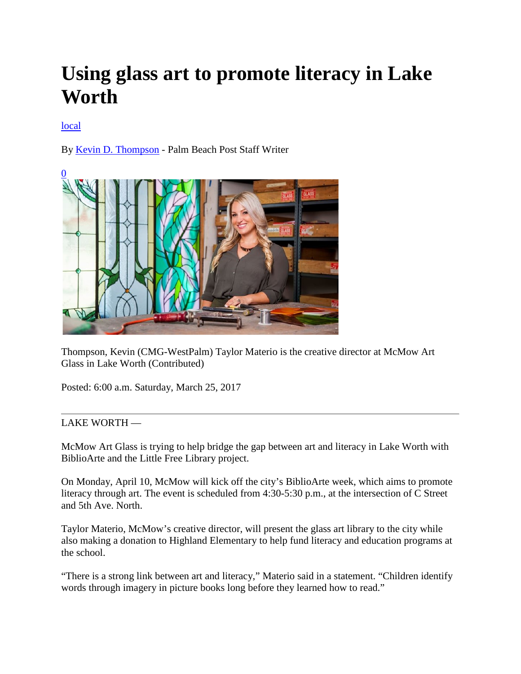## **Using glass art to promote literacy in Lake Worth**

## **[local](http://www.mypalmbeachpost.com/local)**

By [Kevin D. Thompson](http://www.mypalmbeachpost.com/staff/kevin-d.-thompson/) - Palm Beach Post Staff Writer



Thompson, Kevin (CMG-WestPalm) Taylor Materio is the creative director at McMow Art Glass in Lake Worth (Contributed)

Posted: 6:00 a.m. Saturday, March 25, 2017

## LAKE WORTH —

McMow Art Glass is trying to help bridge the gap between art and literacy in Lake Worth with BiblioArte and the Little Free Library project.

On Monday, April 10, McMow will kick off the city's BiblioArte week, which aims to promote literacy through art. The event is scheduled from 4:30-5:30 p.m., at the intersection of C Street and 5th Ave. North.

Taylor Materio, McMow's creative director, will present the glass art library to the city while also making a donation to Highland Elementary to help fund literacy and education programs at the school.

"There is a strong link between art and literacy," Materio said in a statement. "Children identify words through imagery in picture books long before they learned how to read."